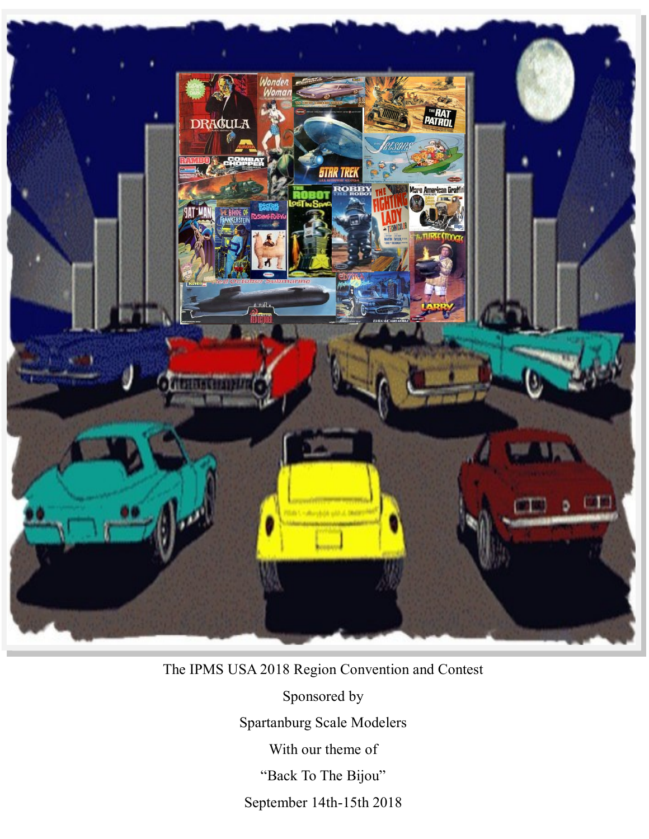

# The IPMS USA 2018 Region Convention and Contest

Sponsored by

Spartanburg Scale Modelers

With our theme of

"Back To The Bijou"

September 14th-15th 2018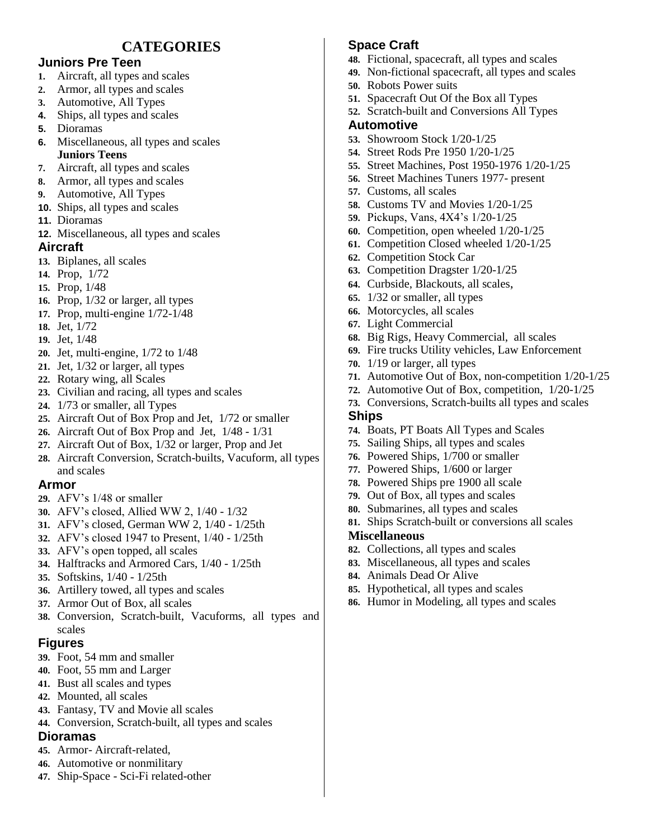# **CATEGORIES**

### **Juniors Pre Teen**

- **1.** Aircraft, all types and scales
- **2.** Armor, all types and scales
- **3.** Automotive, All Types
- **4.** Ships, all types and scales
- **5.** Dioramas
- **6.** Miscellaneous, all types and scales
- **Juniors Teens**
- **7.** Aircraft, all types and scales **8.** Armor, all types and scales
- **9.** Automotive, All Types
- **10.** Ships, all types and scales
- **11.** Dioramas
- **12.** Miscellaneous, all types and scales

### **Aircraft**

- **13.** Biplanes, all scales
- **14.** Prop, 1/72
- **15.** Prop, 1/48
- **16.** Prop, 1/32 or larger, all types
- **17.** Prop, multi-engine 1/72-1/48
- **18.** Jet, 1/72
- **19.** Jet, 1/48
- **20.** Jet, multi-engine, 1/72 to 1/48
- **21.** Jet, 1/32 or larger, all types
- **22.** Rotary wing, all Scales
- **23.** Civilian and racing, all types and scales
- **24.** 1/73 or smaller, all Types
- **25.** Aircraft Out of Box Prop and Jet, 1/72 or smaller
- **26.** Aircraft Out of Box Prop and Jet, 1/48 1/31
- **27.** Aircraft Out of Box, 1/32 or larger, Prop and Jet
- **28.** Aircraft Conversion, Scratch-builts, Vacuform, all types and scales

### **Armor**

- **29.** AFV's 1/48 or smaller
- **30.** AFV's closed, Allied WW 2, 1/40 1/32
- **31.** AFV's closed, German WW 2, 1/40 1/25th
- **32.** AFV's closed 1947 to Present, 1/40 1/25th
- **33.** AFV's open topped, all scales
- **34.** Halftracks and Armored Cars, 1/40 1/25th
- **35.** Softskins, 1/40 1/25th
- **36.** Artillery towed, all types and scales
- **37.** Armor Out of Box, all scales
- **38.** Conversion, Scratch-built, Vacuforms, all types and scales

### **Figures**

- **39.** Foot, 54 mm and smaller
- **40.** Foot, 55 mm and Larger
- **41.** Bust all scales and types
- **42.** Mounted, all scales
- **43.** Fantasy, TV and Movie all scales
- **44.** Conversion, Scratch-built, all types and scales

### **Dioramas**

- **45.** Armor- Aircraft-related,
- **46.** Automotive or nonmilitary
- **47.** Ship-Space Sci-Fi related-other

# **Space Craft**

- **48.** Fictional, spacecraft, all types and scales
- **49.** Non-fictional spacecraft, all types and scales
- **50.** Robots Power suits
- **51.** Spacecraft Out Of the Box all Types
- **52.** Scratch-built and Conversions All Types

#### **Automotive**

- **53.** Showroom Stock 1/20-1/25
- **54.** Street Rods Pre 1950 1/20-1/25
- **55.** Street Machines, Post 1950-1976 1/20-1/25
- **56.** Street Machines Tuners 1977- present
- **57.** Customs, all scales
- **58.** Customs TV and Movies 1/20-1/25
- **59.** Pickups, Vans, 4X4's 1/20-1/25
- **60.** Competition, open wheeled 1/20-1/25
- **61.** Competition Closed wheeled 1/20-1/25
- **62.** Competition Stock Car
- **63.** Competition Dragster 1/20-1/25
- **64.** Curbside, Blackouts, all scales,
- **65.** 1/32 or smaller, all types
- **66.** Motorcycles, all scales
- **67.** Light Commercial
- **68.** Big Rigs, Heavy Commercial, all scales
- **69.** Fire trucks Utility vehicles, Law Enforcement
- **70.** 1/19 or larger, all types
- **71.** Automotive Out of Box, non-competition 1/20-1/25
- **72.** Automotive Out of Box, competition, 1/20-1/25
- **73.** Conversions, Scratch-builts all types and scales

### **Ships**

- **74.** Boats, PT Boats All Types and Scales
- **75.** Sailing Ships, all types and scales
- **76.** Powered Ships, 1/700 or smaller
- **77.** Powered Ships, 1/600 or larger
- **78.** Powered Ships pre 1900 all scale
- **79.** Out of Box, all types and scales
- **80.** Submarines, all types and scales
- **81.** Ships Scratch-built or conversions all scales

#### **Miscellaneous**

- **82.** Collections, all types and scales
- **83.** Miscellaneous, all types and scales
- **84.** Animals Dead Or Alive
- **85.** Hypothetical, all types and scales
- **86.** Humor in Modeling, all types and scales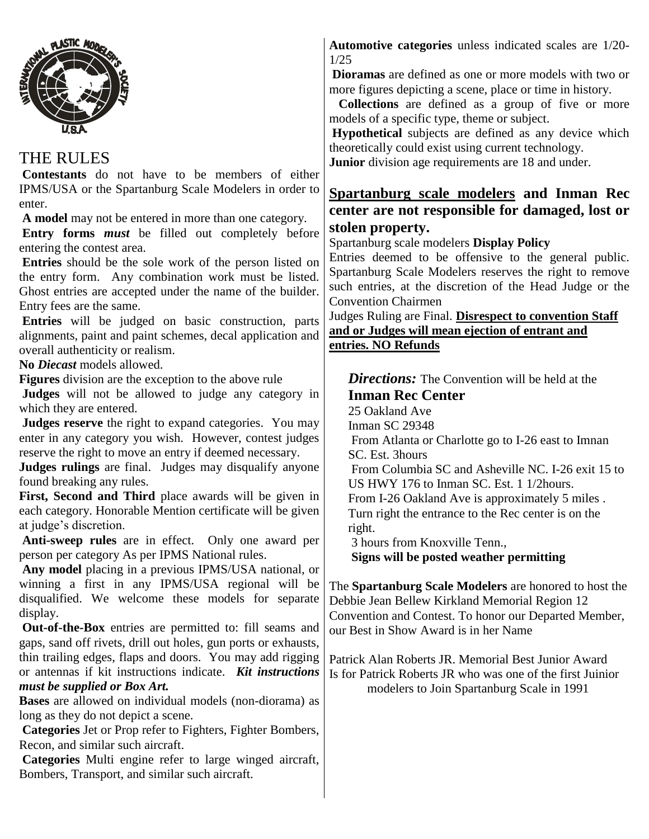

#### THE RULES **Contestants** do not have to be members of either IPMS/USA or the Spartanburg Scale Modelers in order to enter. **A model** may not be entered in more than one category. **Entry forms** *must* be filled out completely before entering the contest area. **Entries** should be the sole work of the person listed on the entry form. Any combination work must be listed. Ghost entries are accepted under the name of the builder. Entry fees are the same. **Entries** will be judged on basic construction, parts alignments, paint and paint schemes, decal application and overall authenticity or realism. **No** *Diecast* models allowed. **Figures** division are the exception to the above rule **Judges** will not be allowed to judge any category in which they are entered. **Judges reserve** the right to expand categories. You may enter in any category you wish. However, contest judges reserve the right to move an entry if deemed necessary. **Judges rulings** are final. Judges may disqualify anyone found breaking any rules. **First, Second and Third** place awards will be given in each category. Honorable Mention certificate will be given at judge's discretion. **Anti-sweep rules** are in effect. Only one award per person per category As per IPMS National rules. **Any model** placing in a previous IPMS/USA national, or winning a first in any IPMS/USA regional will be disqualified. We welcome these models for separate right.

display. **Out-of-the-Box** entries are permitted to: fill seams and gaps, sand off rivets, drill out holes, gun ports or exhausts, thin trailing edges, flaps and doors. You may add rigging or antennas if kit instructions indicate. *Kit instructions must be supplied or Box Art.*

**Bases** are allowed on individual models (non-diorama) as long as they do not depict a scene.

**Categories** Jet or Prop refer to Fighters, Fighter Bombers, Recon, and similar such aircraft.

**Categories** Multi engine refer to large winged aircraft, Bombers, Transport, and similar such aircraft.

**Automotive categories** unless indicated scales are 1/20- 1/25

**Dioramas** are defined as one or more models with two or more figures depicting a scene, place or time in history.

**Collections** are defined as a group of five or more models of a specific type, theme or subject.

**Hypothetical** subjects are defined as any device which theoretically could exist using current technology.

**Junior** division age requirements are 18 and under.

## **Spartanburg scale modelers and Inman Rec center are not responsible for damaged, lost or stolen property.**

Spartanburg scale modelers **Display Policy**

Entries deemed to be offensive to the general public. Spartanburg Scale Modelers reserves the right to remove such entries, at the discretion of the Head Judge or the Convention Chairmen

Judges Ruling are Final. **Disrespect to convention Staff and or Judges will mean ejection of entrant and entries. NO Refunds**

**Directions:** The Convention will be held at the **Inman Rec Center** 25 Oakland Ave Inman SC 29348 From Atlanta or Charlotte go to I-26 east to Imnan SC. Est. 3hours From Columbia SC and Asheville NC. I-26 exit 15 to US HWY 176 to Inman SC. Est. 1 1/2hours. From I-26 Oakland Ave is approximately 5 miles . Turn right the entrance to the Rec center is on the 3 hours from Knoxville Tenn., **Signs will be posted weather permitting**

The **Spartanburg Scale Modelers** are honored to host the Debbie Jean Bellew Kirkland Memorial Region 12 Convention and Contest. To honor our Departed Member, our Best in Show Award is in her Name

Patrick Alan Roberts JR. Memorial Best Junior Award Is for Patrick Roberts JR who was one of the first Juinior modelers to Join Spartanburg Scale in 1991